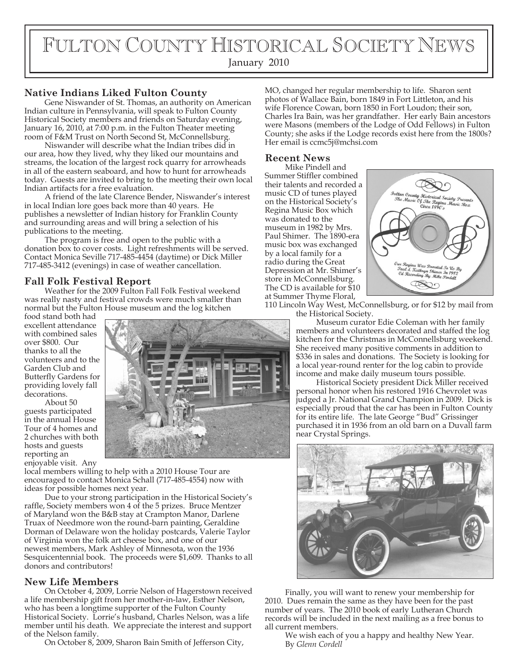# FULTON COUNTY HISTORICAL SOCIETY NEWS

January 2010

# **Native Indians Liked Fulton County**

Gene Niswander of St. Thomas, an authority on American Indian culture in Pennsylvania, will speak to Fulton County Historical Society members and friends on Saturday evening, January 16, 2010, at 7:00 p.m. in the Fulton Theater meeting room of F&M Trust on North Second St, McConnellsburg.

Niswander will describe what the Indian tribes did in our area, how they lived, why they liked our mountains and streams, the location of the largest rock quarry for arrowheads in all of the eastern seaboard, and how to hunt for arrowheads today. Guests are invited to bring to the meeting their own local Indian artifacts for a free evaluation.

A friend of the late Clarence Bender, Niswander's interest in local Indian lore goes back more than 40 years. He publishes a newsletter of Indian history for Franklin County and surrounding areas and will bring a selection of his publications to the meeting.

The program is free and open to the public with a donation box to cover costs. Light refreshments will be served. Contact Monica Seville 717-485-4454 (daytime) or Dick Miller 717-485-3412 (evenings) in case of weather cancellation.

# **Fall Folk Festival Report**

Weather for the 2009 Fulton Fall Folk Festival weekend was really nasty and festival crowds were much smaller than normal but the Fulton House museum and the log kitchen

food stand both had excellent attendance with combined sales over \$800. Our thanks to all the volunteers and to the Garden Club and Butterfly Gardens for providing lovely fall decorations.

About 50 guests participated in the annual House Tour of 4 homes and 2 churches with both hosts and guests reporting an enjoyable visit. Any



local members willing to help with a 2010 House Tour are encouraged to contact Monica Schall (717-485-4554) now with ideas for possible homes next year.

Due to your strong participation in the Historical Society's raffle, Society members won 4 of the 5 prizes. Bruce Mentzer of Maryland won the B&B stay at Crampton Manor, Darlene Truax of Needmore won the round-barn painting, Geraldine Dorman of Delaware won the holiday postcards, Valerie Taylor of Virginia won the folk art cheese box, and one of our newest members, Mark Ashley of Minnesota, won the 1936 Sesquicentennial book. The proceeds were \$1,609. Thanks to all donors and contributors!

# **New Life Members**

On October 4, 2009, Lorrie Nelson of Hagerstown received a life membership gift from her mother-in-law, Esther Nelson, who has been a longtime supporter of the Fulton County Historical Society. Lorrie's husband, Charles Nelson, was a life member until his death. We appreciate the interest and support of the Nelson family.

On October 8, 2009, Sharon Bain Smith of Jefferson City,

MO, changed her regular membership to life. Sharon sent photos of Wallace Bain, born 1849 in Fort Littleton, and his wife Florence Cowan, born 1850 in Fort Loudon; their son, Charles Ira Bain, was her grandfather. Her early Bain ancestors were Masons (members of the Lodge of Odd Fellows) in Fulton County; she asks if the Lodge records exist here from the 1800s? Her email is ccmc5j@mchsi.com

## **Recent News**

Mike Pindell and Summer Stiffler combined their talents and recorded a music CD of tunes played on the Historical Society's Regina Music Box which was donated to the museum in 1982 by Mrs. Paul Shimer. The 1890-era music box was exchanged by a local family for a radio during the Great Depression at Mr. Shimer's store in McConnellsburg. The CD is available for \$10 at Summer Thyme Floral,



110 Lincoln Way West, McConnellsburg, or for \$12 by mail from the Historical Society.

> Museum curator Edie Coleman with her family members and volunteers decorated and staffed the log kitchen for the Christmas in McConnellsburg weekend. She received many positive comments in addition to \$336 in sales and donations. The Society is looking for a local year-round renter for the log cabin to provide income and make daily museum tours possible.

> Historical Society president Dick Miller received personal honor when his restored 1916 Chevrolet was judged a Jr. National Grand Champion in 2009. Dick is especially proud that the car has been in Fulton County for its entire life. The late George "Bud" Grissinger purchased it in 1936 from an old barn on a Duvall farm near Crystal Springs.



Finally, you will want to renew your membership for 2010. Dues remain the same as they have been for the past number of years. The 2010 book of early Lutheran Church records will be included in the next mailing as a free bonus to all current members.

We wish each of you a happy and healthy New Year. By *Glenn Cordell*